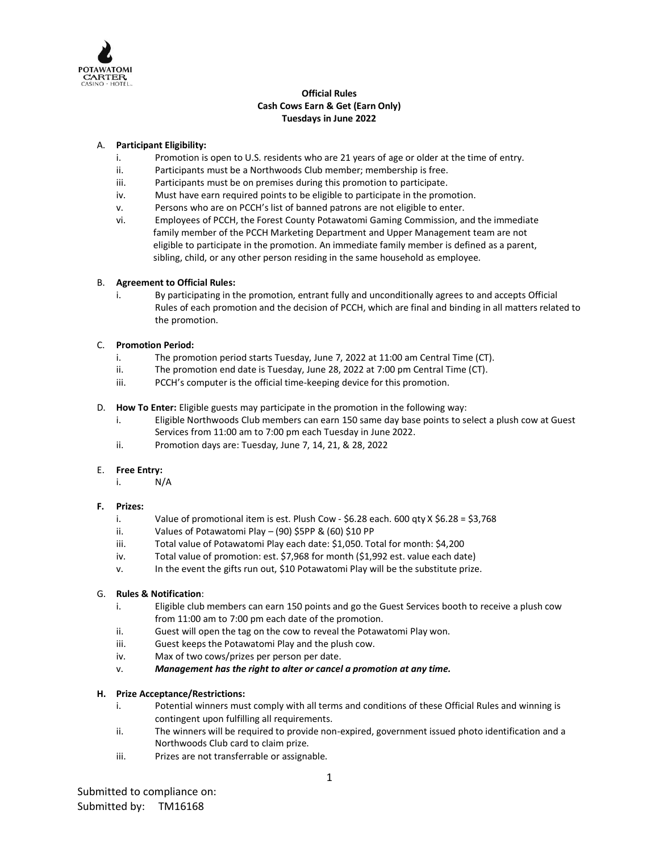

# **Official Rules Cash Cows Earn & Get (Earn Only) Tuesdays in June 2022**

### A. **Participant Eligibility:**

- i. Promotion is open to U.S. residents who are 21 years of age or older at the time of entry.
- ii. Participants must be a Northwoods Club member; membership is free.
- iii. Participants must be on premises during this promotion to participate.
- iv. Must have earn required points to be eligible to participate in the promotion.
- v. Persons who are on PCCH's list of banned patrons are not eligible to enter.
- vi. Employees of PCCH, the Forest County Potawatomi Gaming Commission, and the immediate family member of the PCCH Marketing Department and Upper Management team are not eligible to participate in the promotion. An immediate family member is defined as a parent, sibling, child, or any other person residing in the same household as employee.

### B. **Agreement to Official Rules:**

i. By participating in the promotion, entrant fully and unconditionally agrees to and accepts Official Rules of each promotion and the decision of PCCH, which are final and binding in all matters related to the promotion.

### C. **Promotion Period:**

- i. The promotion period starts Tuesday, June 7, 2022 at 11:00 am Central Time (CT).
- ii. The promotion end date is Tuesday, June 28, 2022 at 7:00 pm Central Time (CT).
- iii. PCCH's computer is the official time-keeping device for this promotion.
- D. **How To Enter:** Eligible guests may participate in the promotion in the following way:
	- i. Eligible Northwoods Club members can earn 150 same day base points to select a plush cow at Guest Services from 11:00 am to 7:00 pm each Tuesday in June 2022.
	- ii. Promotion days are: Tuesday, June 7, 14, 21, & 28, 2022

#### E. **Free Entry:**

i. N/A

## **F. Prizes:**

- i. Value of promotional item is est. Plush Cow \$6.28 each. 600 qty X \$6.28 = \$3,768
- ii. Values of Potawatomi Play (90) \$5PP & (60) \$10 PP
- iii. Total value of Potawatomi Play each date: \$1,050. Total for month: \$4,200
- iv. Total value of promotion: est. \$7,968 for month (\$1,992 est. value each date)
- v. In the event the gifts run out, \$10 Potawatomi Play will be the substitute prize.

## G. **Rules & Notification**:

- i. Eligible club members can earn 150 points and go the Guest Services booth to receive a plush cow from 11:00 am to 7:00 pm each date of the promotion.
- ii. Guest will open the tag on the cow to reveal the Potawatomi Play won.
- iii. Guest keeps the Potawatomi Play and the plush cow.
- iv. Max of two cows/prizes per person per date.
- v. *Management has the right to alter or cancel a promotion at any time.*

## **H. Prize Acceptance/Restrictions:**

- i. Potential winners must comply with all terms and conditions of these Official Rules and winning is contingent upon fulfilling all requirements.
- ii. The winners will be required to provide non-expired, government issued photo identification and a Northwoods Club card to claim prize.
- iii. Prizes are not transferrable or assignable.